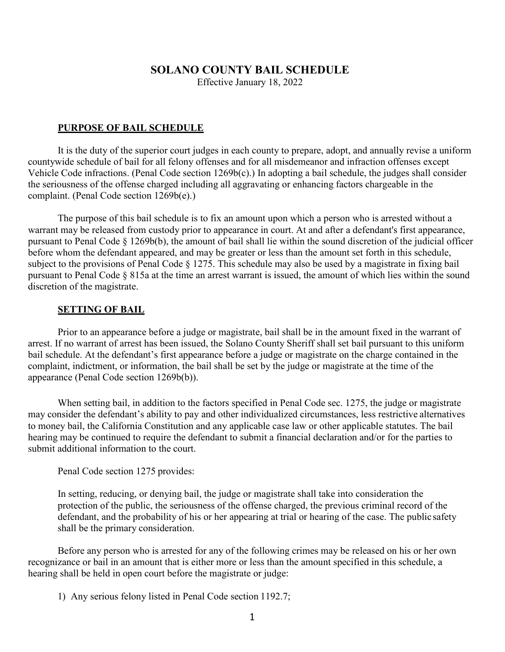## **SOLANO COUNTY BAIL SCHEDULE**

Effective January 18, 2022

#### **PURPOSE OF BAIL SCHEDULE**

It is the duty of the superior court judges in each county to prepare, adopt, and annually revise a uniform countywide schedule of bail for all felony offenses and for all misdemeanor and infraction offenses except Vehicle Code infractions. (Penal Code section 1269b(c).) In adopting a bail schedule, the judges shall consider the seriousness of the offense charged including all aggravating or enhancing factors chargeable in the complaint. (Penal Code section 1269b(e).)

The purpose of this bail schedule is to fix an amount upon which a person who is arrested without a warrant may be released from custody prior to appearance in court. At and after a defendant's first appearance, pursuant to Penal Code § 1269b(b), the amount of bail shall lie within the sound discretion of the judicial officer before whom the defendant appeared, and may be greater or less than the amount set forth in this schedule, subject to the provisions of Penal Code § 1275. This schedule may also be used by a magistrate in fixing bail pursuant to Penal Code § 815a at the time an arrest warrant is issued, the amount of which lies within the sound discretion of the magistrate.

#### **SETTING OF BAIL**

Prior to an appearance before a judge or magistrate, bail shall be in the amount fixed in the warrant of arrest. If no warrant of arrest has been issued, the Solano County Sheriff shall set bail pursuant to this uniform bail schedule. At the defendant's first appearance before a judge or magistrate on the charge contained in the complaint, indictment, or information, the bail shall be set by the judge or magistrate at the time of the appearance (Penal Code section 1269b(b)).

When setting bail, in addition to the factors specified in Penal Code sec. 1275, the judge or magistrate may consider the defendant's ability to pay and other individualized circumstances, less restrictive alternatives to money bail, the California Constitution and any applicable case law or other applicable statutes. The bail hearing may be continued to require the defendant to submit a financial declaration and/or for the parties to submit additional information to the court.

Penal Code section 1275 provides:

In setting, reducing, or denying bail, the judge or magistrate shall take into consideration the protection of the public, the seriousness of the offense charged, the previous criminal record of the defendant, and the probability of his or her appearing at trial or hearing of the case. The public safety shall be the primary consideration.

Before any person who is arrested for any of the following crimes may be released on his or her own recognizance or bail in an amount that is either more or less than the amount specified in this schedule, a hearing shall be held in open court before the magistrate or judge:

1) Any serious felony listed in Penal Code section 1192.7;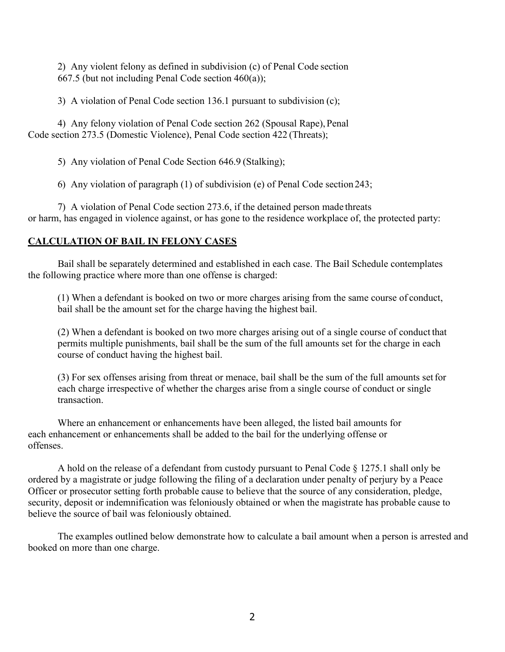2) Any violent felony as defined in subdivision (c) of Penal Code section 667.5 (but not including Penal Code section 460(a));

3) A violation of Penal Code section 136.1 pursuant to subdivision (c);

4) Any felony violation of Penal Code section 262 (Spousal Rape), Penal Code section 273.5 (Domestic Violence), Penal Code section 422 (Threats);

5) Any violation of Penal Code Section 646.9 (Stalking);

6) Any violation of paragraph (1) of subdivision (e) of Penal Code section243;

7) A violation of Penal Code section 273.6, if the detained person made threats or harm, has engaged in violence against, or has gone to the residence workplace of, the protected party:

## **CALCULATION OF BAIL IN FELONY CASES**

Bail shall be separately determined and established in each case. The Bail Schedule contemplates the following practice where more than one offense is charged:

(1) When a defendant is booked on two or more charges arising from the same course of conduct, bail shall be the amount set for the charge having the highest bail.

(2) When a defendant is booked on two more charges arising out of a single course of conduct that permits multiple punishments, bail shall be the sum of the full amounts set for the charge in each course of conduct having the highest bail.

(3) For sex offenses arising from threat or menace, bail shall be the sum of the full amounts setfor each charge irrespective of whether the charges arise from a single course of conduct or single transaction.

Where an enhancement or enhancements have been alleged, the listed bail amounts for each enhancement or enhancements shall be added to the bail for the underlying offense or offenses.

A hold on the release of a defendant from custody pursuant to Penal Code § 1275.1 shall only be ordered by a magistrate or judge following the filing of a declaration under penalty of perjury by a Peace Officer or prosecutor setting forth probable cause to believe that the source of any consideration, pledge, security, deposit or indemnification was feloniously obtained or when the magistrate has probable cause to believe the source of bail was feloniously obtained.

The examples outlined below demonstrate how to calculate a bail amount when a person is arrested and booked on more than one charge.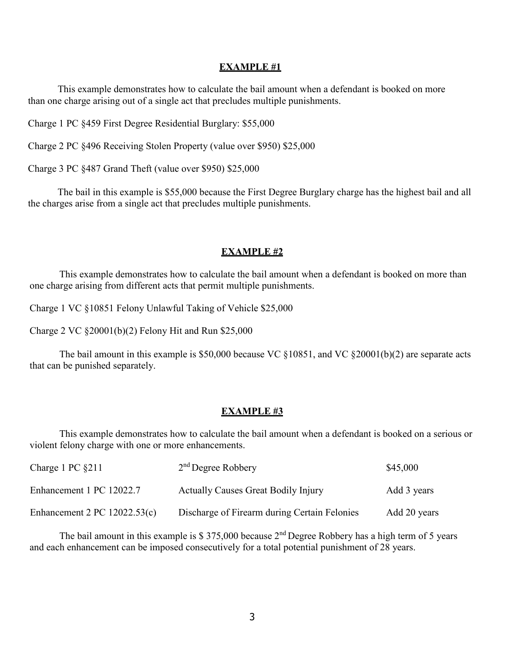#### **EXAMPLE #1**

This example demonstrates how to calculate the bail amount when a defendant is booked on more than one charge arising out of a single act that precludes multiple punishments.

Charge 1 PC §459 First Degree Residential Burglary: \$55,000

Charge 2 PC §496 Receiving Stolen Property (value over \$950) \$25,000

Charge 3 PC §487 Grand Theft (value over \$950) \$25,000

The bail in this example is \$55,000 because the First Degree Burglary charge has the highest bail and all the charges arise from a single act that precludes multiple punishments.

#### **EXAMPLE #2**

This example demonstrates how to calculate the bail amount when a defendant is booked on more than one charge arising from different acts that permit multiple punishments.

Charge 1 VC §10851 Felony Unlawful Taking of Vehicle \$25,000

Charge 2 VC §20001(b)(2) Felony Hit and Run \$25,000

The bail amount in this example is \$50,000 because VC  $\S 10851$ , and VC  $\S 20001(b)(2)$  are separate acts that can be punished separately.

#### **EXAMPLE #3**

This example demonstrates how to calculate the bail amount when a defendant is booked on a serious or violent felony charge with one or more enhancements.

| Charge 1 PC $\S211$            | $2nd$ Degree Robbery                         | \$45,000     |  |
|--------------------------------|----------------------------------------------|--------------|--|
| Enhancement 1 PC 12022.7       | <b>Actually Causes Great Bodily Injury</b>   | Add 3 years  |  |
| Enhancement 2 PC $12022.53(c)$ | Discharge of Firearm during Certain Felonies | Add 20 years |  |

The bail amount in this example is  $$375,000$  because  $2<sup>nd</sup>$  Degree Robbery has a high term of 5 years and each enhancement can be imposed consecutively for a total potential punishment of 28 years.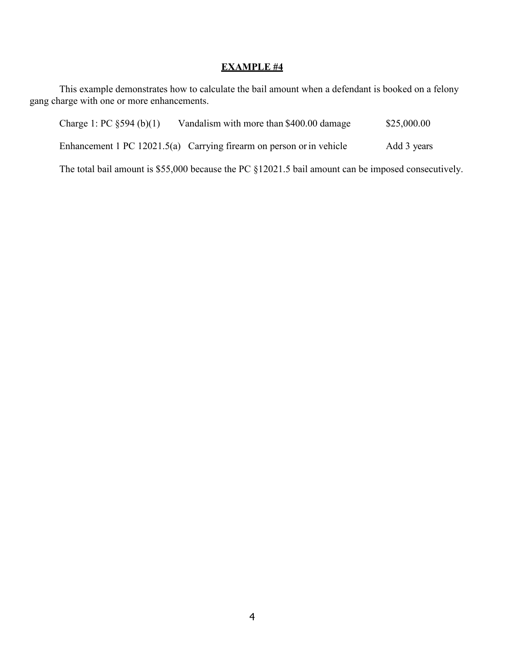# **EXAMPLE #4**

This example demonstrates how to calculate the bail amount when a defendant is booked on a felony gang charge with one or more enhancements.

| Charge 1: PC $\S 594$ (b)(1)                                                                        | Vandalism with more than \$400.00 damage                             | \$25,000.00 |
|-----------------------------------------------------------------------------------------------------|----------------------------------------------------------------------|-------------|
|                                                                                                     | Enhancement 1 PC 12021.5(a) Carrying firearm on person or in vehicle | Add 3 years |
| The total bail amount is \$55,000 because the PC §12021.5 bail amount can be imposed consecutively. |                                                                      |             |